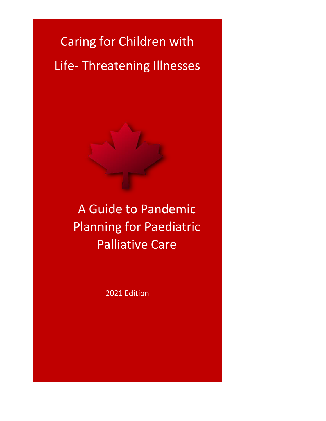Caring for Children with Life- Threatening Illnesses

> A Guide to Pandemic Planning for Paediatric Palliative Care

> > 2021 Edition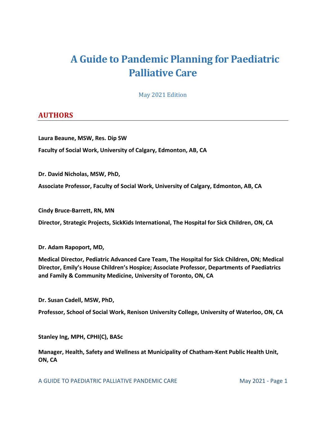# An **AA Guide to Pandemic Planning for Paediatric Palliative Care**

May 2021 Edition

## <span id="page-1-0"></span>**AUTHORS**

**Laura Beaune, MSW, Res. Dip SW Faculty of Social Work, University of Calgary, Edmonton, AB, CA**

**Dr. David Nicholas, MSW, PhD,**

**Associate Professor, Faculty of Social Work, University of Calgary, Edmonton, AB, CA**

**Cindy Bruce-Barrett, RN, MN**

**Director, Strategic Projects, SickKids International, The Hospital for Sick Children, ON, CA**

**Dr. Adam Rapoport, MD,** 

**Medical Director, Pediatric Advanced Care Team, The Hospital for Sick Children, ON; Medical Director, Emily's House Children's Hospice; Associate Professor, Departments of Paediatrics and Family & Community Medicine, University of Toronto, ON, CA**

**Dr. Susan Cadell, MSW, PhD,** 

**Professor, School of Social Work, Renison University College, University of Waterloo, ON, CA**

**Stanley Ing, MPH, CPHI(C), BASc**

**Manager, Health, Safety and Wellness at Municipality of Chatham-Kent Public Health Unit, ON, CA**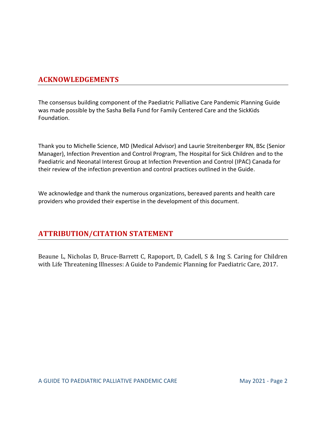# <span id="page-2-0"></span>**ACKNOWLEDGEMENTS**

The consensus building component of the Paediatric Palliative Care Pandemic Planning Guide was made possible by the Sasha Bella Fund for Family Centered Care and the SickKids Foundation.

Thank you to Michelle Science, MD (Medical Advisor) and Laurie Streitenberger RN, BSc (Senior Manager), Infection Prevention and Control Program, The Hospital for Sick Children and to the Paediatric and Neonatal Interest Group at Infection Prevention and Control (IPAC) Canada for their review of the infection prevention and control practices outlined in the Guide.

We acknowledge and thank the numerous organizations, bereaved parents and health care providers who provided their expertise in the development of this document.

# <span id="page-2-1"></span>**ATTRIBUTION/CITATION STATEMENT**

Beaune L, Nicholas D, Bruce-Barrett C, Rapoport, D, Cadell, S & Ing S. Caring for Children with Life Threatening Illnesses: A Guide to Pandemic Planning for Paediatric Care, 2017.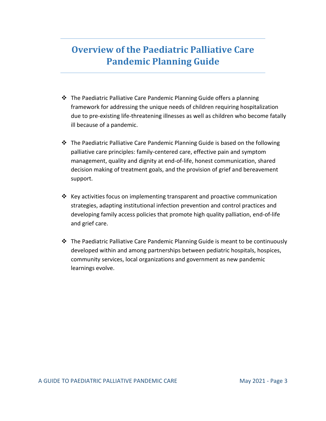# **Overview of the Paediatric Palliative Care Pandemic Planning Guide**

- ❖ The Paediatric Palliative Care Pandemic Planning Guide offers a planning framework for addressing the unique needs of children requiring hospitalization due to pre-existing life-threatening illnesses as well as children who become fatally ill because of a pandemic.
- ❖ The Paediatric Palliative Care Pandemic Planning Guide is based on the following palliative care principles: family-centered care, effective pain and symptom management, quality and dignity at end-of-life, honest communication, shared decision making of treatment goals, and the provision of grief and bereavement support.
- ❖ Key activities focus on implementing transparent and proactive communication strategies, adapting institutional infection prevention and control practices and developing family access policies that promote high quality palliation, end-of-life and grief care.
- ❖ The Paediatric Palliative Care Pandemic Planning Guide is meant to be continuously developed within and among partnerships between pediatric hospitals, hospices, community services, local organizations and government as new pandemic learnings evolve.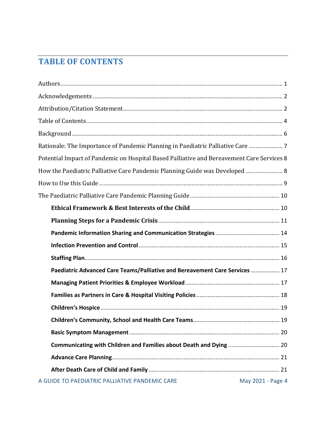# <span id="page-4-0"></span>**TABLE OF CONTENTS**

| Rationale: The Importance of Pandemic Planning in Paediatric Palliative Care  7           |                   |
|-------------------------------------------------------------------------------------------|-------------------|
| Potential Impact of Pandemic on Hospital Based Palliative and Bereavement Care Services 8 |                   |
| How the Paediatric Palliative Care Pandemic Planning Guide was Developed  8               |                   |
|                                                                                           |                   |
|                                                                                           |                   |
|                                                                                           |                   |
|                                                                                           |                   |
|                                                                                           |                   |
|                                                                                           |                   |
|                                                                                           |                   |
| Paediatric Advanced Care Teams/Palliative and Bereavement Care Services  17               |                   |
|                                                                                           |                   |
|                                                                                           |                   |
|                                                                                           |                   |
|                                                                                           |                   |
|                                                                                           |                   |
|                                                                                           |                   |
|                                                                                           |                   |
|                                                                                           |                   |
| A GUIDE TO PAEDIATRIC PALLIATIVE PANDEMIC CARE                                            | May 2021 - Page 4 |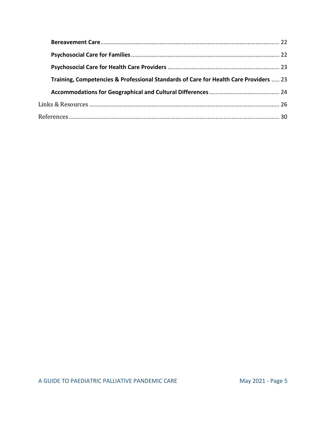| Training, Competencies & Professional Standards of Care for Health Care Providers  23 |  |
|---------------------------------------------------------------------------------------|--|
|                                                                                       |  |
|                                                                                       |  |
|                                                                                       |  |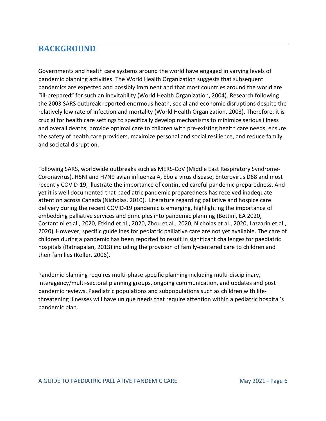# <span id="page-6-0"></span>**BACKGROUND**

Governments and health care systems around the world have engaged in varying levels of pandemic planning activities. The World Health Organization suggests that subsequent pandemics are expected and possibly imminent and that most countries around the world are "ill-prepared" for such an inevitability (World Health Organization, 2004). Research following the 2003 SARS outbreak reported enormous heath, social and economic disruptions despite the relatively low rate of infection and mortality (World Health Organization, 2003). Therefore, it is crucial for health care settings to specifically develop mechanisms to minimize serious illness and overall deaths, provide optimal care to children with pre-existing health care needs, ensure the safety of health care providers, maximize personal and social resilience, and reduce family and societal disruption.

Following SARS, worldwide outbreaks such as MERS-CoV (Middle East Respiratory Syndrome-Coronavirus), H5NI and H7N9 avian influenza A, Ebola virus disease, Enterovirus D68 and most recently COVID-19, illustrate the importance of continued careful pandemic preparedness. And yet it is well documented that paediatric pandemic preparedness has received inadequate attention across Canada (Nicholas, 2010). Literature regarding palliative and hospice care delivery during the recent COVID-19 pandemic is emerging, highlighting the importance of embedding palliative services and principles into pandemic planning (Bettini, EA 2020, Costantini et al., 2020, Etkind et al., 2020, Zhou et al., 2020, Nicholas et al., 2020, Lazzarin et al., 2020).However, specific guidelines for pediatric palliative care are not yet available. The care of children during a pandemic has been reported to result in significant challenges for paediatric hospitals (Ratnapalan, 2013) including the provision of family-centered care to children and their families (Koller, 2006).

Pandemic planning requires multi-phase specific planning including multi-disciplinary, interagency/multi-sectoral planning groups, ongoing communication, and updates and post pandemic reviews. Paediatric populations and subpopulations such as children with lifethreatening illnesses will have unique needs that require attention within a pediatric hospital's pandemic plan.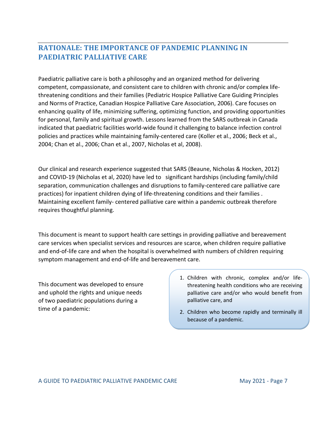# <span id="page-7-0"></span>**RATIONALE: THE IMPORTANCE OF PANDEMIC PLANNING IN PAEDIATRIC PALLIATIVE CARE**

Paediatric palliative care is both a philosophy and an organized method for delivering competent, compassionate, and consistent care to children with chronic and/or complex lifethreatening conditions and their families (Pediatric Hospice Palliative Care Guiding Principles and Norms of Practice, Canadian Hospice Palliative Care Association, 2006). Care focuses on enhancing quality of life, minimizing suffering, optimizing function, and providing opportunities for personal, family and spiritual growth. Lessons learned from the SARS outbreak in Canada indicated that paediatric facilities world-wide found it challenging to balance infection control policies and practices while maintaining family-centered care (Koller et al., 2006; Beck et al., 2004; Chan et al., 2006; Chan et al., 2007, Nicholas et al, 2008).

Our clinical and research experience suggested that SARS (Beaune, Nicholas & Hocken, 2012) and COVID-19 (Nicholas et al, 2020) have led to significant hardships (including family/child separation, communication challenges and disruptions to family-centered care palliative care practices) for inpatient children dying of life-threatening conditions and their families . Maintaining excellent family- centered palliative care within a pandemic outbreak therefore requires thoughtful planning.

This document is meant to support health care settings in providing palliative and bereavement care services when specialist services and resources are scarce, when children require palliative and end-of-life care and when the hospital is overwhelmed with numbers of children requiring symptom management and end-of-life and bereavement care.

This document was developed to ensure and uphold the rights and unique needs of two paediatric populations during a time of a pandemic:

- 1. Children with chronic, complex and/or lifethreatening health conditions who are receiving palliative care and/or who would benefit from palliative care, and
- 2. Children who become rapidly and terminally ill because of a pandemic.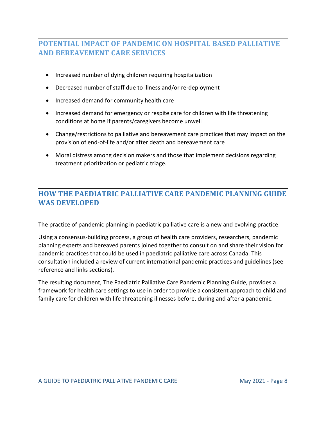# <span id="page-8-0"></span>**POTENTIAL IMPACT OF PANDEMIC ON HOSPITAL BASED PALLIATIVE AND BEREAVEMENT CARE SERVICES**

- Increased number of dying children requiring hospitalization
- Decreased number of staff due to illness and/or re-deployment
- Increased demand for community health care
- Increased demand for emergency or respite care for children with life threatening conditions at home if parents/caregivers become unwell
- Change/restrictions to palliative and bereavement care practices that may impact on the provision of end-of-life and/or after death and bereavement care
- Moral distress among decision makers and those that implement decisions regarding treatment prioritization or pediatric triage.

# <span id="page-8-1"></span>**HOW THE PAEDIATRIC PALLIATIVE CARE PANDEMIC PLANNING GUIDE WAS DEVELOPED**

The practice of pandemic planning in paediatric palliative care is a new and evolving practice.

Using a consensus-building process, a group of health care providers, researchers, pandemic planning experts and bereaved parents joined together to consult on and share their vision for pandemic practices that could be used in paediatric palliative care across Canada. This consultation included a review of current international pandemic practices and guidelines (see reference and links sections).

The resulting document, The Paediatric Palliative Care Pandemic Planning Guide, provides a framework for health care settings to use in order to provide a consistent approach to child and family care for children with life threatening illnesses before, during and after a pandemic.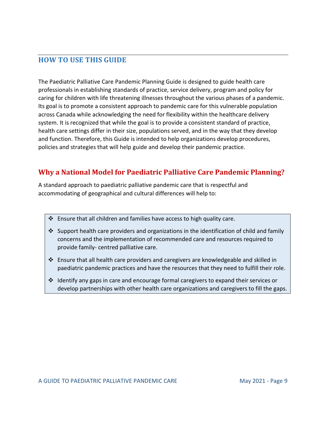## <span id="page-9-0"></span>**HOW TO USE THIS GUIDE**

The Paediatric Palliative Care Pandemic Planning Guide is designed to guide health care professionals in establishing standards of practice, service delivery, program and policy for caring for children with life threatening illnesses throughout the various phases of a pandemic. Its goal is to promote a consistent approach to pandemic care for this vulnerable population across Canada while acknowledging the need for flexibility within the healthcare delivery system. It is recognized that while the goal is to provide a consistent standard of practice, health care settings differ in their size, populations served, and in the way that they develop and function. Therefore, this Guide is intended to help organizations develop procedures, policies and strategies that will help guide and develop their pandemic practice.

# **Why a National Model for Paediatric Palliative Care Pandemic Planning?**

A standard approach to paediatric palliative pandemic care that is respectful and accommodating of geographical and cultural differences will help to:

- ❖ Ensure that all children and families have access to high quality care.
- $\dots$  Support health care providers and organizations in the identification of child and family concerns and the implementation of recommended care and resources required to provide family- centred palliative care.
- ❖ Ensure that all health care providers and caregivers are knowledgeable and skilled in paediatric pandemic practices and have the resources that they need to fulfill their role.
- ❖ Identify any gaps in care and encourage formal caregivers to expand their services or develop partnerships with other health care organizations and caregivers to fill the gaps.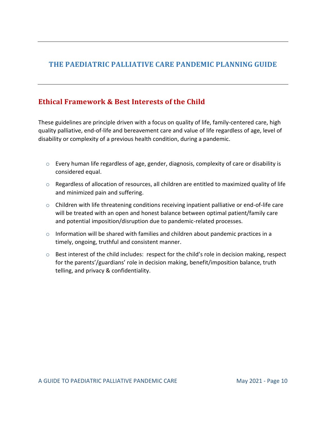# <span id="page-10-0"></span>**THE PAEDIATRIC PALLIATIVE CARE PANDEMIC PLANNING GUIDE**

# <span id="page-10-1"></span>**Ethical Framework & Best Interests of the Child**

These guidelines are principle driven with a focus on quality of life, family-centered care, high quality palliative, end-of-life and bereavement care and value of life regardless of age, level of disability or complexity of a previous health condition, during a pandemic.

- $\circ$  Every human life regardless of age, gender, diagnosis, complexity of care or disability is considered equal.
- o Regardless of allocation of resources, all children are entitled to maximized quality of life and minimized pain and suffering.
- $\circ$  Children with life threatening conditions receiving inpatient palliative or end-of-life care will be treated with an open and honest balance between optimal patient/family care and potential imposition/disruption due to pandemic-related processes.
- o Information will be shared with families and children about pandemic practices in a timely, ongoing, truthful and consistent manner.
- o Best interest of the child includes: respect for the child's role in decision making, respect for the parents'/guardians' role in decision making, benefit/imposition balance, truth telling, and privacy & confidentiality.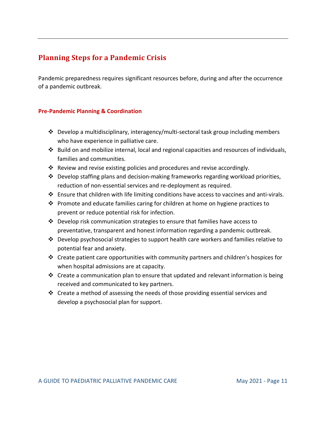# <span id="page-11-0"></span>**Planning Steps for a Pandemic Crisis**

Pandemic preparedness requires significant resources before, during and after the occurrence of a pandemic outbreak.

#### **Pre-Pandemic Planning & Coordination**

- ❖ Develop a multidisciplinary, interagency/multi-sectoral task group including members who have experience in palliative care.
- ❖ Build on and mobilize internal, local and regional capacities and resources of individuals, families and communities.
- ❖ Review and revise existing policies and procedures and revise accordingly.
- $\cdot \cdot$  Develop staffing plans and decision-making frameworks regarding workload priorities, reduction of non-essential services and re-deployment as required.
- ❖ Ensure that children with life limiting conditions have access to vaccines and anti-virals.
- **❖** Promote and educate families caring for children at home on hygiene practices to prevent or reduce potential risk for infection.
- ❖ Develop risk communication strategies to ensure that families have access to preventative, transparent and honest information regarding a pandemic outbreak.
- ❖ Develop psychosocial strategies to support health care workers and families relative to potential fear and anxiety.
- ❖ Create patient care opportunities with community partners and children's hospices for when hospital admissions are at capacity.
- ❖ Create a communication plan to ensure that updated and relevant information is being received and communicated to key partners.
- ❖ Create a method of assessing the needs of those providing essential services and develop a psychosocial plan for support.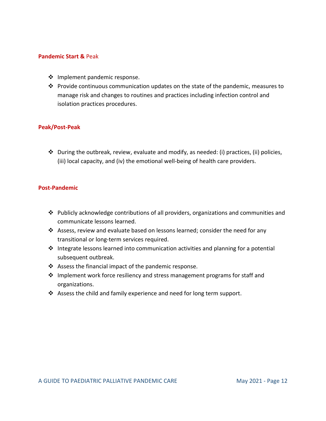#### **Pandemic Start &** Peak

- ❖ Implement pandemic response.
- ❖ Provide continuous communication updates on the state of the pandemic, measures to manage risk and changes to routines and practices including infection control and isolation practices procedures.

#### **Peak/Post-Peak**

❖ During the outbreak, review, evaluate and modify, as needed: (i) practices, (ii) policies, (iii) local capacity, and (iv) the emotional well-being of health care providers.

#### **Post-Pandemic**

- $\dots$  Publicly acknowledge contributions of all providers, organizations and communities and communicate lessons learned.
- ❖ Assess, review and evaluate based on lessons learned; consider the need for any transitional or long-term services required.
- ❖ Integrate lessons learned into communication activities and planning for a potential subsequent outbreak.
- ❖ Assess the financial impact of the pandemic response.
- ❖ Implement work force resiliency and stress management programs for staff and organizations.
- ❖ Assess the child and family experience and need for long term support.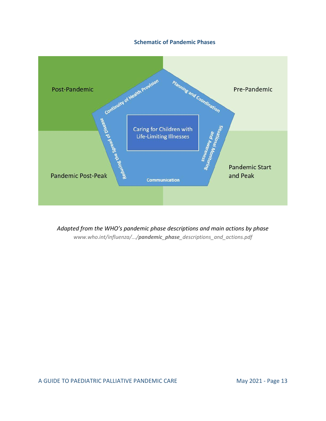#### **Schematic of Pandemic Phases**



*Adapted from the WHO's pandemic phase descriptions and main actions by phase www.who.int/influenza/.../pandemic\_phase\_descriptions\_and\_actions.pdf*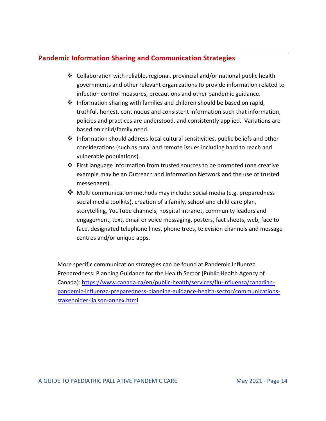## <span id="page-14-0"></span>**Pandemic Information Sharing and Communication Strategies**

- ❖ Collaboration with reliable, regional, provincial and/or national public health governments and other relevant organizations to provide information related to infection control measures, precautions and other pandemic guidance.
- ❖ Information sharing with families and children should be based on rapid, truthful, honest, continuous and consistent information such that information, policies and practices are understood, and consistently applied. Variations are based on child/family need.
- ❖ Information should address local cultural sensitivities, public beliefs and other considerations (such as rural and remote issues including hard to reach and vulnerable populations).
- ❖ First language information from trusted sources to be promoted (one creative example may be an Outreach and Information Network and the use of trusted messengers).
- ❖ Multi communication methods may include: social media (e.g. preparedness social media toolkits), creation of a family, school and child care plan, storytelling, YouTube channels, hospital intranet, community leaders and engagement, text, email or voice messaging, posters, fact sheets, web, face to face, designated telephone lines, phone trees, television channels and message centres and/or unique apps.

More specific communication strategies can be found at Pandemic Influenza Preparedness: Planning Guidance for the Health Sector (Public Health Agency of Canada): [https://www.canada.ca/en/public-health/services/flu-influenza/canadian](https://www.canada.ca/en/public-health/services/flu-influenza/canadian-pandemic-influenza-preparedness-planning-guidance-health-sector/communications-stakeholder-liaison-annex.html)[pandemic-influenza-preparedness-planning-guidance-health-sector/communications](https://www.canada.ca/en/public-health/services/flu-influenza/canadian-pandemic-influenza-preparedness-planning-guidance-health-sector/communications-stakeholder-liaison-annex.html)[stakeholder-liaison-annex.html.](https://www.canada.ca/en/public-health/services/flu-influenza/canadian-pandemic-influenza-preparedness-planning-guidance-health-sector/communications-stakeholder-liaison-annex.html)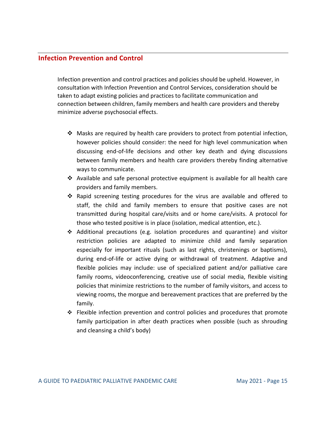#### <span id="page-15-0"></span>**Infection Prevention and Control**

Infection prevention and control practices and policies should be upheld. However, in consultation with Infection Prevention and Control Services, consideration should be taken to adapt existing policies and practices to facilitate communication and connection between children, family members and health care providers and thereby minimize adverse psychosocial effects.

- $\clubsuit$  Masks are required by health care providers to protect from potential infection, however policies should consider: the need for high level communication when discussing end-of-life decisions and other key death and dying discussions between family members and health care providers thereby finding alternative ways to communicate.
- ❖ Available and safe personal protective equipment is available for all health care providers and family members.
- ❖ Rapid screening testing procedures for the virus are available and offered to staff, the child and family members to ensure that positive cases are not transmitted during hospital care/visits and or home care/visits. A protocol for those who tested positive is in place (isolation, medical attention, etc.).
- ❖ Additional precautions (e.g. isolation procedures and quarantine) and visitor restriction policies are adapted to minimize child and family separation especially for important rituals (such as last rights, christenings or baptisms), during end-of-life or active dying or withdrawal of treatment. Adaptive and flexible policies may include: use of specialized patient and/or palliative care family rooms, videoconferencing, creative use of social media, flexible visiting policies that minimize restrictions to the number of family visitors, and access to viewing rooms, the morgue and bereavement practices that are preferred by the family.
- ❖ Flexible infection prevention and control policies and procedures that promote family participation in after death practices when possible (such as shrouding and cleansing a child's body)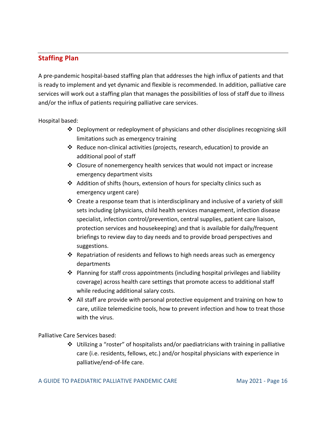# <span id="page-16-0"></span>**Staffing Plan**

A pre-pandemic hospital-based staffing plan that addresses the high influx of patients and that is ready to implement and yet dynamic and flexible is recommended. In addition, palliative care services will work out a staffing plan that manages the possibilities of loss of staff due to illness and/or the influx of patients requiring palliative care services.

Hospital based:

- ❖ Deployment or redeployment of physicians and other disciplines recognizing skill limitations such as emergency training
- ❖ Reduce non-clinical activities (projects, research, education) to provide an additional pool of staff
- $\dots$  Closure of nonemergency health services that would not impact or increase emergency department visits
- ❖ Addition of shifts (hours, extension of hours for specialty clinics such as emergency urgent care)
- ❖ Create a response team that is interdisciplinary and inclusive of a variety of skill sets including (physicians, child health services management, infection disease specialist, infection control/prevention, central supplies, patient care liaison, protection services and housekeeping) and that is available for daily/frequent briefings to review day to day needs and to provide broad perspectives and suggestions.
- $\dots$  Repatriation of residents and fellows to high needs areas such as emergency departments
- $\triangle$  Planning for staff cross appointments (including hospital privileges and liability coverage) across health care settings that promote access to additional staff while reducing additional salary costs.
- ◆ All staff are provide with personal protective equipment and training on how to care, utilize telemedicine tools, how to prevent infection and how to treat those with the virus.

Palliative Care Services based:

❖ Utilizing a "roster" of hospitalists and/or paediatricians with training in palliative care (i.e. residents, fellows, etc.) and/or hospital physicians with experience in palliative/end-of-life care.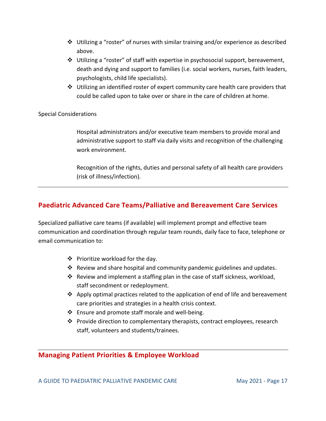- $\dots$  Utilizing a "roster" of nurses with similar training and/or experience as described above.
- $\clubsuit$  Utilizing a "roster" of staff with expertise in psychosocial support, bereavement, death and dying and support to families (i.e. social workers, nurses, faith leaders, psychologists, child life specialists).
- ❖ Utilizing an identified roster of expert community care health care providers that could be called upon to take over or share in the care of children at home.

#### Special Considerations

Hospital administrators and/or executive team members to provide moral and administrative support to staff via daily visits and recognition of the challenging work environment.

Recognition of the rights, duties and personal safety of all health care providers (risk of illness/infection).

## <span id="page-17-0"></span>**Paediatric Advanced Care Teams/Palliative and Bereavement Care Services**

Specialized palliative care teams (if available) will implement prompt and effective team communication and coordination through regular team rounds, daily face to face, telephone or email communication to:

- ❖ Prioritize workload for the day.
- $\dots$  Review and share hospital and community pandemic guidelines and updates.
- $\dots$  Review and implement a staffing plan in the case of staff sickness, workload, staff secondment or redeployment.
- ❖ Apply optimal practices related to the application of end of life and bereavement care priorities and strategies in a health crisis context.
- ❖ Ensure and promote staff morale and well-being.
- ❖ Provide direction to complementary therapists, contract employees, research staff, volunteers and students/trainees.

#### <span id="page-17-1"></span>**Managing Patient Priorities & Employee Workload**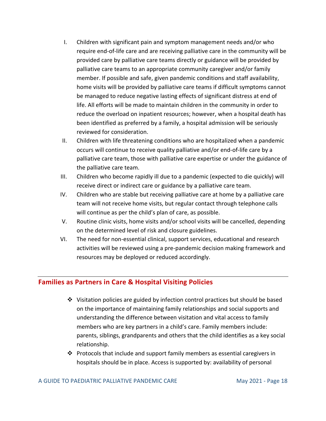- I. Children with significant pain and symptom management needs and/or who require end-of-life care and are receiving palliative care in the community will be provided care by palliative care teams directly or guidance will be provided by palliative care teams to an appropriate community caregiver and/or family member. If possible and safe, given pandemic conditions and staff availability, home visits will be provided by palliative care teams if difficult symptoms cannot be managed to reduce negative lasting effects of significant distress at end of life. All efforts will be made to maintain children in the community in order to reduce the overload on inpatient resources; however, when a hospital death has been identified as preferred by a family, a hospital admission will be seriously reviewed for consideration.
- II. Children with life threatening conditions who are hospitalized when a pandemic occurs will continue to receive quality palliative and/or end-of-life care by a palliative care team, those with palliative care expertise or under the guidance of the palliative care team.
- III. Children who become rapidly ill due to a pandemic (expected to die quickly) will receive direct or indirect care or guidance by a palliative care team.
- IV. Children who are stable but receiving palliative care at home by a palliative care team will not receive home visits, but regular contact through telephone calls will continue as per the child's plan of care, as possible.
- V. Routine clinic visits, home visits and/or school visits will be cancelled, depending on the determined level of risk and closure guidelines.
- VI. The need for non-essential clinical, support services, educational and research activities will be reviewed using a pre-pandemic decision making framework and resources may be deployed or reduced accordingly.

#### <span id="page-18-0"></span>**Families as Partners in Care & Hospital Visiting Policies**

- ❖ Visitation policies are guided by infection control practices but should be based on the importance of maintaining family relationships and social supports and understanding the difference between visitation and vital access to family members who are key partners in a child's care. Family members include: parents, siblings, grandparents and others that the child identifies as a key social relationship.
- ❖ Protocols that include and support family members as essential caregivers in hospitals should be in place. Access is supported by: availability of personal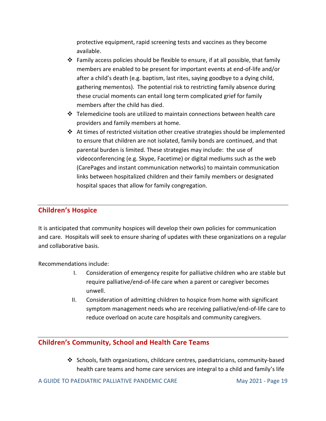protective equipment, rapid screening tests and vaccines as they become available.

- $\div$  Family access policies should be flexible to ensure, if at all possible, that family members are enabled to be present for important events at end-of-life and/or after a child's death (e.g. baptism, last rites, saying goodbye to a dying child, gathering mementos). The potential risk to restricting family absence during these crucial moments can entail long term complicated grief for family members after the child has died.
- ❖ Telemedicine tools are utilized to maintain connections between health care providers and family members at home.
- ❖ At times of restricted visitation other creative strategies should be implemented to ensure that children are not isolated, family bonds are continued, and that parental burden is limited. These strategies may include: the use of videoconferencing (e.g. Skype, Facetime) or digital mediums such as the web (CarePages and instant communication networks) to maintain communication links between hospitalized children and their family members or designated hospital spaces that allow for family congregation.

### <span id="page-19-0"></span>**Children's Hospice**

It is anticipated that community hospices will develop their own policies for communication and care. Hospitals will seek to ensure sharing of updates with these organizations on a regular and collaborative basis.

Recommendations include:

- I. Consideration of emergency respite for palliative children who are stable but require palliative/end-of-life care when a parent or caregiver becomes unwell.
- II. Consideration of admitting children to hospice from home with significant symptom management needs who are receiving palliative/end-of-life care to reduce overload on acute care hospitals and community caregivers.

### <span id="page-19-1"></span>**Children's Community, School and Health Care Teams**

❖ Schools, faith organizations, childcare centres, paediatricians, community-based health care teams and home care services are integral to a child and family's life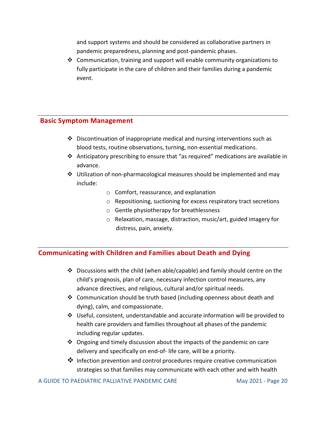and support systems and should be considered as collaborative partners in pandemic preparedness, planning and post-pandemic phases.

❖ Communication, training and support will enable community organizations to fully participate in the care of children and their families during a pandemic event.

### <span id="page-20-0"></span>**Basic Symptom Management**

- $\cdot \cdot$  Discontinuation of inappropriate medical and nursing interventions such as blood tests, routine observations, turning, non-essential medications.
- ❖ Anticipatory prescribing to ensure that "as required" medications are available in advance.
- ❖ Utilization of non-pharmacological measures should be implemented and may include:
	- o Comfort, reassurance, and explanation
	- o Repositioning, suctioning for excess respiratory tract secretions
	- o Gentle physiotherapy for breathlessness
	- o Relaxation, massage, distraction, music/art, guided imagery for distress, pain, anxiety.

# <span id="page-20-1"></span>**Communicating with Children and Families about Death and Dying**

- ❖ Discussions with the child (when able/capable) and family should centre on the child's prognosis, plan of care, necessary infection control measures, any advance directives, and religious, cultural and/or spiritual needs.
- ❖ Communication should be truth based (including openness about death and dying), calm, and compassionate.
- ❖ Useful, consistent, understandable and accurate information will be provided to health care providers and families throughout all phases of the pandemic including regular updates.
- ❖ Ongoing and timely discussion about the impacts of the pandemic on care delivery and specifically on end-of- life care, will be a priority.
- ❖ Infection prevention and control procedures require creative communication strategies so that families may communicate with each other and with health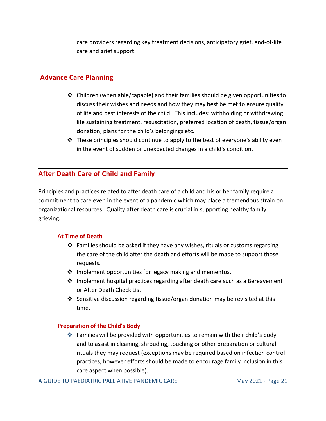care providers regarding key treatment decisions, anticipatory grief, end-of-life care and grief support.

#### <span id="page-21-0"></span>**Advance Care Planning**

- ❖ Children (when able/capable) and their families should be given opportunities to discuss their wishes and needs and how they may best be met to ensure quality of life and best interests of the child. This includes: withholding or withdrawing life sustaining treatment, resuscitation, preferred location of death, tissue/organ donation, plans for the child's belongings etc.
- $\cdot \cdot$  These principles should continue to apply to the best of everyone's ability even in the event of sudden or unexpected changes in a child's condition.

## <span id="page-21-1"></span>**After Death Care of Child and Family**

Principles and practices related to after death care of a child and his or her family require a commitment to care even in the event of a pandemic which may place a tremendous strain on organizational resources. Quality after death care is crucial in supporting healthy family grieving.

#### **At Time of Death**

- ❖ Families should be asked if they have any wishes, rituals or customs regarding the care of the child after the death and efforts will be made to support those requests.
- $\cdot$  Implement opportunities for legacy making and mementos.
- $\dots$  Implement hospital practices regarding after death care such as a Bereavement or After Death Check List.
- **❖** Sensitive discussion regarding tissue/organ donation may be revisited at this time.

#### **Preparation of the Child's Body**

❖ Families will be provided with opportunities to remain with their child's body and to assist in cleaning, shrouding, touching or other preparation or cultural rituals they may request (exceptions may be required based on infection control practices, however efforts should be made to encourage family inclusion in this care aspect when possible).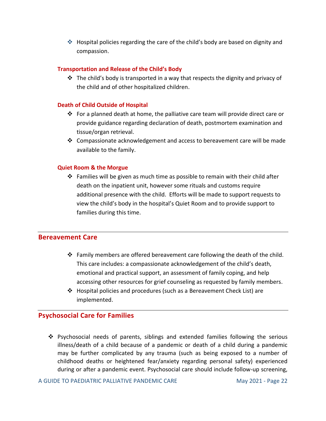❖ Hospital policies regarding the care of the child's body are based on dignity and compassion.

#### **Transportation and Release of the Child's Body**

 $\clubsuit$  The child's body is transported in a way that respects the dignity and privacy of the child and of other hospitalized children.

#### **Death of Child Outside of Hospital**

- ❖ For a planned death at home, the palliative care team will provide direct care or provide guidance regarding declaration of death, postmortem examination and tissue/organ retrieval.
- ❖ Compassionate acknowledgement and access to bereavement care will be made available to the family.

#### **Quiet Room & the Morgue**

❖ Families will be given as much time as possible to remain with their child after death on the inpatient unit, however some rituals and customs require additional presence with the child. Efforts will be made to support requests to view the child's body in the hospital's Quiet Room and to provide support to families during this time.

#### <span id="page-22-0"></span>**Bereavement Care**

- $\clubsuit$  Family members are offered bereavement care following the death of the child. This care includes: a compassionate acknowledgement of the child's death, emotional and practical support, an assessment of family coping, and help accessing other resources for grief counseling as requested by family members.
- ❖ Hospital policies and procedures (such as a Bereavement Check List) are implemented.

### <span id="page-22-1"></span>**Psychosocial Care for Families**

❖ Psychosocial needs of parents, siblings and extended families following the serious illness/death of a child because of a pandemic or death of a child during a pandemic may be further complicated by any trauma (such as being exposed to a number of childhood deaths or heightened fear/anxiety regarding personal safety) experienced during or after a pandemic event. Psychosocial care should include follow-up screening,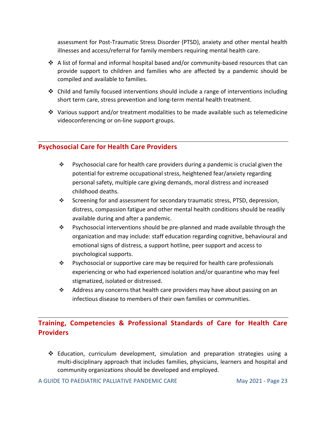assessment for Post-Traumatic Stress Disorder (PTSD), anxiety and other mental health illnesses and access/referral for family members requiring mental health care.

- ↑ A list of formal and informal hospital based and/or community-based resources that can provide support to children and families who are affected by a pandemic should be compiled and available to families.
- ❖ Child and family focused interventions should include a range of interventions including short term care, stress prevention and long-term mental health treatment.
- ◆ Various support and/or treatment modalities to be made available such as telemedicine videoconferencing or on-line support groups.

#### <span id="page-23-0"></span>**Psychosocial Care for Health Care Providers**

- ❖ Psychosocial care for health care providers during a pandemic is crucial given the potential for extreme occupational stress, heightened fear/anxiety regarding personal safety, multiple care giving demands, moral distress and increased childhood deaths.
- ❖ Screening for and assessment for secondary traumatic stress, PTSD, depression, distress, compassion fatigue and other mental health conditions should be readily available during and after a pandemic.
- ❖ Psychosocial interventions should be pre-planned and made available through the organization and may include: staff education regarding cognitive, behavioural and emotional signs of distress, a support hotline, peer support and access to psychological supports.
- ❖ Psychosocial or supportive care may be required for health care professionals experiencing or who had experienced isolation and/or quarantine who may feel stigmatized, isolated or distressed.
- $\cdot \cdot$  Address any concerns that health care providers may have about passing on an infectious disease to members of their own families or communities.

# <span id="page-23-1"></span>**Training, Competencies & Professional Standards of Care for Health Care Providers**

❖ Education, curriculum development, simulation and preparation strategies using a multi-disciplinary approach that includes families, physicians, learners and hospital and community organizations should be developed and employed.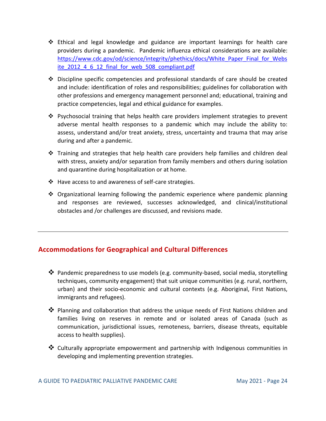- ❖ Ethical and legal knowledge and guidance are important learnings for health care providers during a pandemic. Pandemic influenza ethical considerations are available: [https://www.cdc.gov/od/science/integrity/phethics/docs/White\\_Paper\\_Final\\_for\\_Webs](https://www.cdc.gov/od/science/integrity/phethics/docs/White_Paper_Final_for_Website_2012_4_6_12_final_for_web_508_compliant.pdf) [ite\\_2012\\_4\\_6\\_12\\_final\\_for\\_web\\_508\\_compliant.pdf](https://www.cdc.gov/od/science/integrity/phethics/docs/White_Paper_Final_for_Website_2012_4_6_12_final_for_web_508_compliant.pdf)
- ❖ Discipline specific competencies and professional standards of care should be created and include: identification of roles and responsibilities; guidelines for collaboration with other professions and emergency management personnel and; educational, training and practice competencies, legal and ethical guidance for examples.
- ❖ Psychosocial training that helps health care providers implement strategies to prevent adverse mental health responses to a pandemic which may include the ability to: assess, understand and/or treat anxiety, stress, uncertainty and trauma that may arise during and after a pandemic.
- $\div$  Training and strategies that help health care providers help families and children deal with stress, anxiety and/or separation from family members and others during isolation and quarantine during hospitalization or at home.
- ❖ Have access to and awareness of self-care strategies.
- ❖ Organizational learning following the pandemic experience where pandemic planning and responses are reviewed, successes acknowledged, and clinical/institutional obstacles and /or challenges are discussed, and revisions made.

# <span id="page-24-0"></span>**Accommodations for Geographical and Cultural Differences**

- ❖ Pandemic preparedness to use models (e.g. community-based, social media, storytelling techniques, community engagement) that suit unique communities (e.g. rural, northern, urban) and their socio-economic and cultural contexts (e.g. Aboriginal, First Nations, immigrants and refugees).
- ❖ Planning and collaboration that address the unique needs of First Nations children and families living on reserves in remote and or isolated areas of Canada (such as communication, jurisdictional issues, remoteness, barriers, disease threats, equitable access to health supplies).
- ❖ Culturally appropriate empowerment and partnership with Indigenous communities in developing and implementing prevention strategies.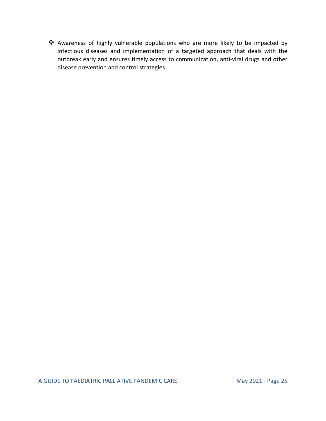❖ Awareness of highly vulnerable populations who are more likely to be impacted by infectious diseases and implementation of a targeted approach that deals with the outbreak early and ensures timely access to communication, anti-viral drugs and other disease prevention and control strategies.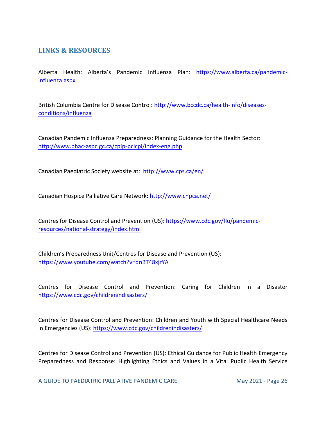# <span id="page-26-0"></span>**LINKS & RESOURCES**

Alberta Health: Alberta's Pandemic Influenza Plan: [https://www.alberta.ca/pandemic](https://www.alberta.ca/pandemic-influenza.aspx)[influenza.aspx](https://www.alberta.ca/pandemic-influenza.aspx)

British Columbia Centre for Disease Control: [http://www.bccdc.ca/health-info/diseases](http://www.bccdc.ca/health-info/diseases-conditions/influenza)[conditions/influenza](http://www.bccdc.ca/health-info/diseases-conditions/influenza)

Canadian Pandemic Influenza Preparedness: Planning Guidance for the Health Sector: <http://www.phac-aspc.gc.ca/cpip-pclcpi/index-eng.php>

Canadian Paediatric Society website at:<http://www.cps.ca/en/>

Canadian Hospice Palliative Care Network:<http://www.chpca.net/>

Centres for Disease Control and Prevention (US): [https://www.cdc.gov/flu/pandemic](https://www.cdc.gov/flu/pandemic-resources/national-strategy/index.html)[resources/national-strategy/index.html](https://www.cdc.gov/flu/pandemic-resources/national-strategy/index.html)

Children's Preparedness Unit/Centres for Disease and Prevention (US): <https://www.youtube.com/watch?v=dnBT48xjrYA>

Centres for Disease Control and Prevention: Caring for Children in a Disaster <https://www.cdc.gov/childrenindisasters/>

Centres for Disease Control and Prevention: Children and Youth with Special Healthcare Needs in Emergencies (US):<https://www.cdc.gov/childrenindisasters/>

Centres for Disease Control and Prevention (US): Ethical Guidance for Public Health Emergency Preparedness and Response: Highlighting Ethics and Values in a Vital Public Health Service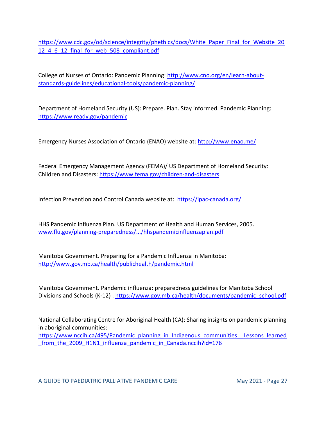[https://www.cdc.gov/od/science/integrity/phethics/docs/White\\_Paper\\_Final\\_for\\_Website\\_20](https://www.cdc.gov/od/science/integrity/phethics/docs/White_Paper_Final_for_Website_2012_4_6_12_final_for_web_508_compliant.pdf) [12\\_4\\_6\\_12\\_final\\_for\\_web\\_508\\_compliant.pdf](https://www.cdc.gov/od/science/integrity/phethics/docs/White_Paper_Final_for_Website_2012_4_6_12_final_for_web_508_compliant.pdf)

College of Nurses of Ontario: Pandemic Planning: [http://www.cno.org/en/learn-about](http://www.cno.org/en/learn-about-standards-guidelines/educational-tools/pandemic-planning/)[standards-guidelines/educational-tools/pandemic-planning/](http://www.cno.org/en/learn-about-standards-guidelines/educational-tools/pandemic-planning/)

Department of Homeland Security (US): Prepare. Plan. Stay informed. Pandemic Planning: <https://www.ready.gov/pandemic>

Emergency Nurses Association of Ontario (ENAO) website at:<http://www.enao.me/>

Federal Emergency Management Agency (FEMA)/ US Department of Homeland Security: Children and Disasters:<https://www.fema.gov/children-and-disasters>

Infection Prevention and Control Canada website at: <https://ipac-canada.org/>

HHS Pandemic Influenza Plan. US Department of Health and Human Services, 2005. [www.flu.gov/planning-preparedness/.../hhspandemicinfluenzaplan.pdf](http://www.flu.gov/planning-preparedness/.../hhspandemicinfluenzaplan.pdf)

Manitoba Government. Preparing for a Pandemic Influenza in Manitoba: <http://www.gov.mb.ca/health/publichealth/pandemic.html>

Manitoba Government. Pandemic influenza: preparedness guidelines for Manitoba School Divisions and Schools (K-12) : [https://www.gov.mb.ca/health/documents/pandemic\\_school.pdf](https://www.gov.mb.ca/health/documents/pandemic_school.pdf)

National Collaborating Centre for Aboriginal Health (CA): Sharing insights on pandemic planning in aboriginal communities:

[https://www.nccih.ca/495/Pandemic\\_planning\\_in\\_Indigenous\\_communities\\_\\_Lessons\\_learned](https://www.nccih.ca/495/Pandemic_planning_in_Indigenous_communities__Lessons_learned_from_the_2009_H1N1_influenza_pandemic_in_Canada.nccih?id=176) from the 2009 H1N1 influenza pandemic in Canada.nccih?id=176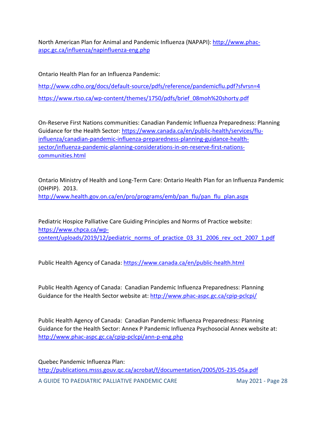North American Plan for Animal and Pandemic Influenza (NAPAPI): [http://www.phac](http://www.phac-aspc.gc.ca/influenza/napinfluenza-eng.php)[aspc.gc.ca/influenza/napinfluenza-eng.php](http://www.phac-aspc.gc.ca/influenza/napinfluenza-eng.php)

Ontario Health Plan for an Influenza Pandemic:

<http://www.cdho.org/docs/default-source/pdfs/reference/pandemicflu.pdf?sfvrsn=4> [https://www.rtso.ca/wp-content/themes/1750/pdfs/brief\\_08moh%20shorty.pdf](https://www.rtso.ca/wp-content/themes/1750/pdfs/brief_08moh%20shorty.pdf)

On-Reserve First Nations communities: Canadian Pandemic Influenza Preparedness: Planning Guidance for the Health Sector[: https://www.canada.ca/en/public-health/services/flu](https://www.canada.ca/en/public-health/services/flu-influenza/canadian-pandemic-influenza-preparedness-planning-guidance-health-sector/influenza-pandemic-planning-considerations-in-on-reserve-first-nations-communities.html)[influenza/canadian-pandemic-influenza-preparedness-planning-guidance-health](https://www.canada.ca/en/public-health/services/flu-influenza/canadian-pandemic-influenza-preparedness-planning-guidance-health-sector/influenza-pandemic-planning-considerations-in-on-reserve-first-nations-communities.html)[sector/influenza-pandemic-planning-considerations-in-on-reserve-first-nations](https://www.canada.ca/en/public-health/services/flu-influenza/canadian-pandemic-influenza-preparedness-planning-guidance-health-sector/influenza-pandemic-planning-considerations-in-on-reserve-first-nations-communities.html)[communities.html](https://www.canada.ca/en/public-health/services/flu-influenza/canadian-pandemic-influenza-preparedness-planning-guidance-health-sector/influenza-pandemic-planning-considerations-in-on-reserve-first-nations-communities.html)

Ontario Ministry of Health and Long-Term Care: Ontario Health Plan for an Influenza Pandemic (OHPIP). 2013. [http://www.health.gov.on.ca/en/pro/programs/emb/pan\\_flu/pan\\_flu\\_plan.aspx](http://www.health.gov.on.ca/en/pro/programs/emb/pan_flu/pan_flu_plan.aspx)

Pediatric Hospice Palliative Care Guiding Principles and Norms of Practice website: [https://www.chpca.ca/wp](https://www.chpca.ca/wp-content/uploads/2019/12/pediatric_norms_of_practice_03_31_2006_rev_oct_2007_1.pdf)[content/uploads/2019/12/pediatric\\_norms\\_of\\_practice\\_03\\_31\\_2006\\_rev\\_oct\\_2007\\_1.pdf](https://www.chpca.ca/wp-content/uploads/2019/12/pediatric_norms_of_practice_03_31_2006_rev_oct_2007_1.pdf)

Public Health Agency of Canada:<https://www.canada.ca/en/public-health.html>

Public Health Agency of Canada: Canadian Pandemic Influenza Preparedness: Planning Guidance for the Health Sector website at:<http://www.phac-aspc.gc.ca/cpip-pclcpi/>

Public Health Agency of Canada: Canadian Pandemic Influenza Preparedness: Planning Guidance for the Health Sector: Annex P Pandemic Influenza Psychosocial Annex website at: <http://www.phac-aspc.gc.ca/cpip-pclcpi/ann-p-eng.php>

A GUIDE TO PAEDIATRIC PALLIATIVE PANDEMIC CARE May 2021 - Page 28 Quebec Pandemic Influenza Plan: <http://publications.msss.gouv.qc.ca/acrobat/f/documentation/2005/05-235-05a.pdf>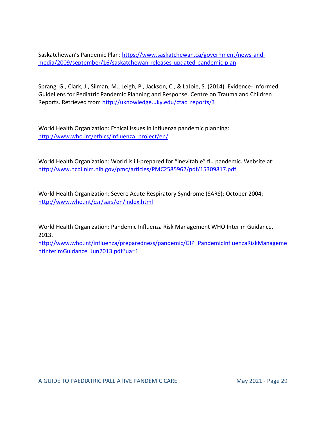Saskatchewan's Pandemic Plan: [https://www.saskatchewan.ca/government/news-and](https://www.saskatchewan.ca/government/news-and-media/2009/september/16/saskatchewan-releases-updated-pandemic-plan)[media/2009/september/16/saskatchewan-releases-updated-pandemic-plan](https://www.saskatchewan.ca/government/news-and-media/2009/september/16/saskatchewan-releases-updated-pandemic-plan)

Sprang, G., Clark, J., Silman, M., Leigh, P., Jackson, C., & LaJoie, S. (2014). Evidence- informed Guideliens for Pediatric Pandemic Planning and Response. Centre on Trauma and Children Reports. Retrieved from [http://uknowledge.uky.edu/ctac\\_reports/3](http://uknowledge.uky.edu/ctac_reports/3)

World Health Organization: Ethical issues in influenza pandemic planning: [http://www.who.int/ethics/influenza\\_project/en/](http://www.who.int/ethics/influenza_project/en/)

World Health Organization: World is ill-prepared for "inevitable" flu pandemic. Website at: <http://www.ncbi.nlm.nih.gov/pmc/articles/PMC2585962/pdf/15309817.pdf>

World Health Organization: Severe Acute Respiratory Syndrome (SARS); October 2004; <http://www.who.int/csr/sars/en/index.html>

World Health Organization: Pandemic Influenza Risk Management WHO Interim Guidance, 2013.

[http://www.who.int/influenza/preparedness/pandemic/GIP\\_PandemicInfluenzaRiskManageme](http://www.who.int/influenza/preparedness/pandemic/GIP_PandemicInfluenzaRiskManagementInterimGuidance_Jun2013.pdf?ua=1) [ntInterimGuidance\\_Jun2013.pdf?ua=1](http://www.who.int/influenza/preparedness/pandemic/GIP_PandemicInfluenzaRiskManagementInterimGuidance_Jun2013.pdf?ua=1)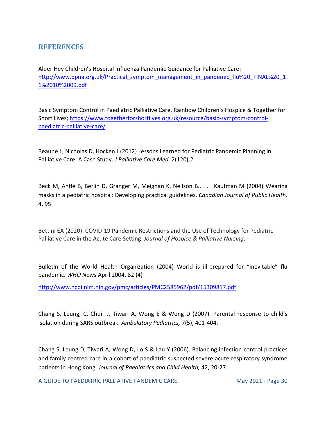## <span id="page-30-0"></span>**REFERENCES**

Alder Hey Children's Hospital Influenza Pandemic Guidance for Palliative Care: [http://www.bpna.org.uk/Practical\\_symptom\\_management\\_in\\_pandemic\\_flu%20\\_FINAL%20\\_1](http://www.bpna.org.uk/Practical_symptom_management_in_pandemic_flu%20_FINAL%20_11%2010%2009.pdf) [1%2010%2009.pdf](http://www.bpna.org.uk/Practical_symptom_management_in_pandemic_flu%20_FINAL%20_11%2010%2009.pdf)

Basic Symptom Control in Paediatric Palliative Care, Rainbow Children's Hospice & Together for Short Lives; [https://www.togetherforshortlives.org.uk/resource/basic-symptom-control](https://www.togetherforshortlives.org.uk/resource/basic-symptom-control-paediatric-palliative-care/)[paediatric-palliative-care/](https://www.togetherforshortlives.org.uk/resource/basic-symptom-control-paediatric-palliative-care/)

Beaune L, Nicholas D, Hocken J (2012) Lessons Learned for Pediatric Pandemic Planning in Palliative Care: A Case Study. *J Palliative Care Med,* 2(120),2.

Beck M, Antle B, Berlin D, Granger M, Meighan K, Neilson B., . . . Kaufman M (2004) Wearing masks in a pediatric hospital: Developing practical guidelines. *Canadian Journal of Public Health,*  4, 95.

Bettini EA (2020). COVID-19 Pandemic Restrictions and the Use of Technology for Pediatric Palliative Care in the Acute Care Setting. *Journal of Hospice & Palliative Nursing*.

Bulletin of the World Health Organization (2004) World is ill-prepared for "inevitable" flu pandemic. *WHO News* April 2004, 82 (4)

<http://www.ncbi.nlm.nih.gov/pmc/articles/PMC2585962/pdf/15309817.pdf>

Chang S, Leung, C, Chui J, Tiwari A, Wong E & Wong D (2007). Parental response to child's isolation during SARS outbreak. *Ambulatory Pediatrics,* 7(5), 401-404.

Chang S, Leung D, Tiwari A, Wong D, Lo S & Lau Y (2006). Balancing infection control practices and family centred care in a cohort of paediatric suspected severe acute respiratory syndrome patients in Hong Kong. *Journal of Paediatrics and Child Health,* 42, 20-27.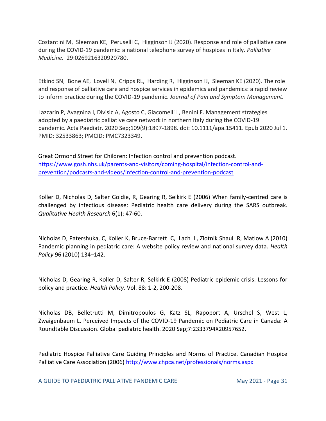Costantini M, Sleeman KE, Peruselli C, Higginson IJ (2020). Response and role of palliative care during the COVID-19 pandemic: a national telephone survey of hospices in Italy. *Palliative Medicine.* 29:0269216320920780.

Etkind SN, Bone AE, Lovell N, Cripps RL, Harding R, Higginson IJ, Sleeman KE (2020). The role and response of palliative care and hospice services in epidemics and pandemics: a rapid review to inform practice during the COVID-19 pandemic. *Journal of Pain and Symptom Management.*

Lazzarin P, Avagnina I, Divisic A, Agosto C, Giacomelli L, Benini F. Management strategies adopted by a paediatric palliative care network in northern Italy during the COVID-19 pandemic. Acta Paediatr. 2020 Sep;109(9):1897-1898. doi: 10.1111/apa.15411. Epub 2020 Jul 1. PMID: 32533863; PMCID: PMC7323349.

Great Ormond Street for Children: Infection control and prevention podcast. [https://www.gosh.nhs.uk/parents-and-visitors/coming-hospital/infection-control-and](https://www.gosh.nhs.uk/parents-and-visitors/coming-hospital/infection-control-and-prevention/podcasts-and-videos/infection-control-and-prevention-podcast)[prevention/podcasts-and-videos/infection-control-and-prevention-podcast](https://www.gosh.nhs.uk/parents-and-visitors/coming-hospital/infection-control-and-prevention/podcasts-and-videos/infection-control-and-prevention-podcast)

Koller D, Nicholas D, Salter Goldie, R, Gearing R, Selkirk E (2006) When family-centred care is challenged by infectious disease: Pediatric health care delivery during the SARS outbreak. *Qualitative Health Research* 6(1): 47-60.

Nicholas D, Patershuka, C, Koller K, Bruce-Barrett C, Lach L, Zlotnik Shaul R, Matlow A (2010) Pandemic planning in pediatric care: A website policy review and national survey data. *Health Policy* 96 (2010) 134–142.

Nicholas D, Gearing R, Koller D, Salter R, Selkirk E (2008) Pediatric epidemic crisis: Lessons for policy and practice. *Health Policy.* Vol. 88: 1-2, 200-208.

Nicholas DB, Belletrutti M, Dimitropoulos G, Katz SL, Rapoport A, Urschel S, West L, Zwaigenbaum L. Perceived Impacts of the COVID-19 Pandemic on Pediatric Care in Canada: A Roundtable Discussion. Global pediatric health. 2020 Sep;7:2333794X20957652.

Pediatric Hospice Palliative Care Guiding Principles and Norms of Practice. Canadian Hospice Palliative Care Association (2006)<http://www.chpca.net/professionals/norms.aspx>